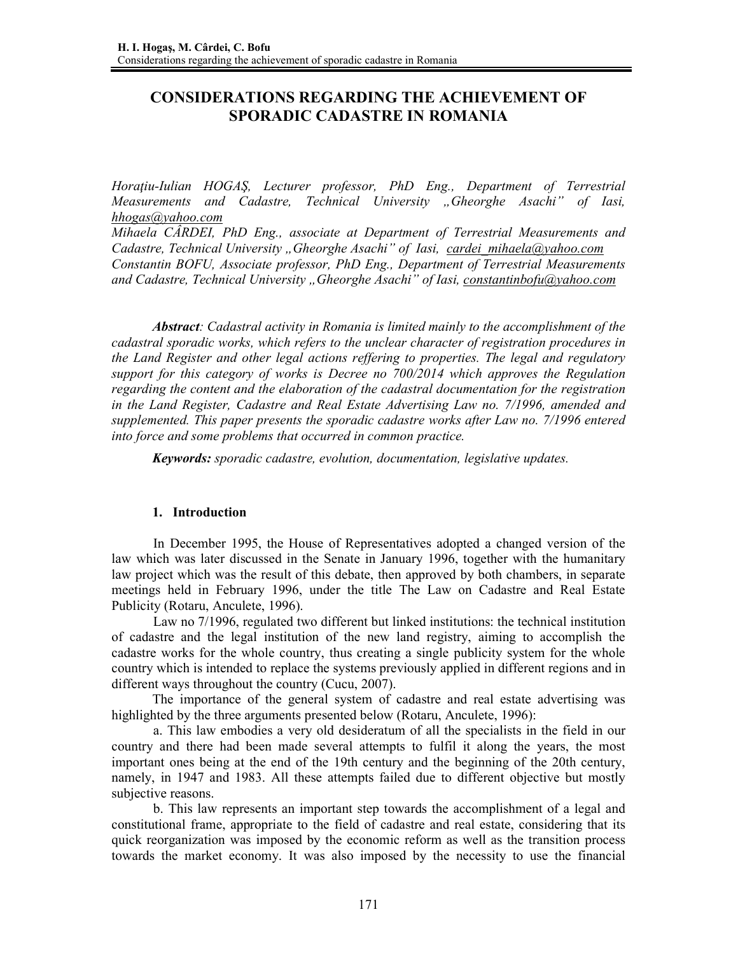# **CONSIDERATIONS REGARDING THE ACHIEVEMENT OF SPORADIC CADASTRE IN ROMANIA**

*Horaţiu-Iulian HOGAŞ, Lecturer professor, PhD Eng., Department of Terrestrial Measurements and Cadastre, Technical University "Gheorghe Asachi" of Iasi, hhogas@yahoo.com*

*Mihaela CÂRDEI, PhD Eng., associate at Department of Terrestrial Measurements and Cadastre, Technical University "Gheorghe Asachi" of Iasi, cardei mihaela@yahoo.com Constantin BOFU, Associate professor, PhD Eng., Department of Terrestrial Measurements*  and Cadastre, Technical University "Gheorghe Asachi" of Iasi, constantinbofu@yahoo.com

*Abstract: Cadastral activity in Romania is limited mainly to the accomplishment of the cadastral sporadic works, which refers to the unclear character of registration procedures in the Land Register and other legal actions reffering to properties. The legal and regulatory support for this category of works is Decree no 700/2014 which approves the Regulation regarding the content and the elaboration of the cadastral documentation for the registration in the Land Register, Cadastre and Real Estate Advertising Law no. 7/1996, amended and supplemented. This paper presents the sporadic cadastre works after Law no. 7/1996 entered into force and some problems that occurred in common practice.* 

*Keywords: sporadic cadastre, evolution, documentation, legislative updates.* 

# **1. Introduction**

In December 1995, the House of Representatives adopted a changed version of the law which was later discussed in the Senate in January 1996, together with the humanitary law project which was the result of this debate, then approved by both chambers, in separate meetings held in February 1996, under the title The Law on Cadastre and Real Estate Publicity (Rotaru, Anculete, 1996).

Law no 7/1996, regulated two different but linked institutions: the technical institution of cadastre and the legal institution of the new land registry, aiming to accomplish the cadastre works for the whole country, thus creating a single publicity system for the whole country which is intended to replace the systems previously applied in different regions and in different ways throughout the country (Cucu, 2007).

The importance of the general system of cadastre and real estate advertising was highlighted by the three arguments presented below (Rotaru, Anculete, 1996):

a. This law embodies a very old desideratum of all the specialists in the field in our country and there had been made several attempts to fulfil it along the years, the most important ones being at the end of the 19th century and the beginning of the 20th century, namely, in 1947 and 1983. All these attempts failed due to different objective but mostly subjective reasons.

b. This law represents an important step towards the accomplishment of a legal and constitutional frame, appropriate to the field of cadastre and real estate, considering that its quick reorganization was imposed by the economic reform as well as the transition process towards the market economy. It was also imposed by the necessity to use the financial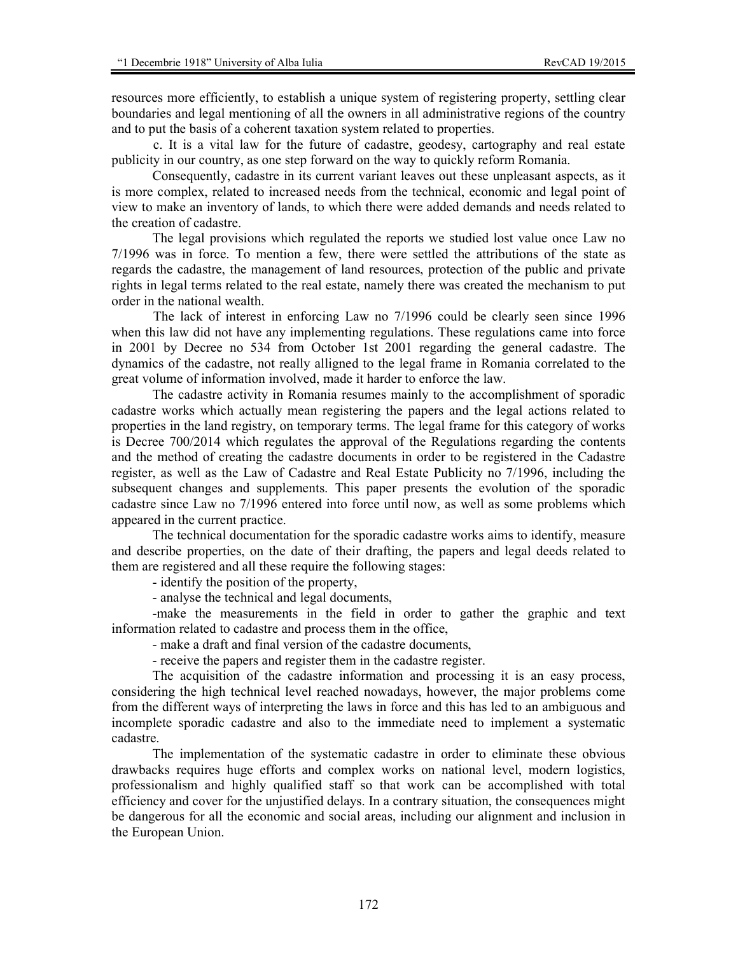resources more efficiently, to establish a unique system of registering property, settling clear boundaries and legal mentioning of all the owners in all administrative regions of the country and to put the basis of a coherent taxation system related to properties.

c. It is a vital law for the future of cadastre, geodesy, cartography and real estate publicity in our country, as one step forward on the way to quickly reform Romania.

Consequently, cadastre in its current variant leaves out these unpleasant aspects, as it is more complex, related to increased needs from the technical, economic and legal point of view to make an inventory of lands, to which there were added demands and needs related to the creation of cadastre.

The legal provisions which regulated the reports we studied lost value once Law no 7/1996 was in force. To mention a few, there were settled the attributions of the state as regards the cadastre, the management of land resources, protection of the public and private rights in legal terms related to the real estate, namely there was created the mechanism to put order in the national wealth.

The lack of interest in enforcing Law no 7/1996 could be clearly seen since 1996 when this law did not have any implementing regulations. These regulations came into force in 2001 by Decree no 534 from October 1st 2001 regarding the general cadastre. The dynamics of the cadastre, not really alligned to the legal frame in Romania correlated to the great volume of information involved, made it harder to enforce the law.

The cadastre activity in Romania resumes mainly to the accomplishment of sporadic cadastre works which actually mean registering the papers and the legal actions related to properties in the land registry, on temporary terms. The legal frame for this category of works is Decree 700/2014 which regulates the approval of the Regulations regarding the contents and the method of creating the cadastre documents in order to be registered in the Cadastre register, as well as the Law of Cadastre and Real Estate Publicity no 7/1996, including the subsequent changes and supplements. This paper presents the evolution of the sporadic cadastre since Law no 7/1996 entered into force until now, as well as some problems which appeared in the current practice.

The technical documentation for the sporadic cadastre works aims to identify, measure and describe properties, on the date of their drafting, the papers and legal deeds related to them are registered and all these require the following stages:

- identify the position of the property,

- analyse the technical and legal documents,

-make the measurements in the field in order to gather the graphic and text information related to cadastre and process them in the office,

- make a draft and final version of the cadastre documents,

- receive the papers and register them in the cadastre register.

The acquisition of the cadastre information and processing it is an easy process, considering the high technical level reached nowadays, however, the major problems come from the different ways of interpreting the laws in force and this has led to an ambiguous and incomplete sporadic cadastre and also to the immediate need to implement a systematic cadastre.

The implementation of the systematic cadastre in order to eliminate these obvious drawbacks requires huge efforts and complex works on national level, modern logistics, professionalism and highly qualified staff so that work can be accomplished with total efficiency and cover for the unjustified delays. In a contrary situation, the consequences might be dangerous for all the economic and social areas, including our alignment and inclusion in the European Union.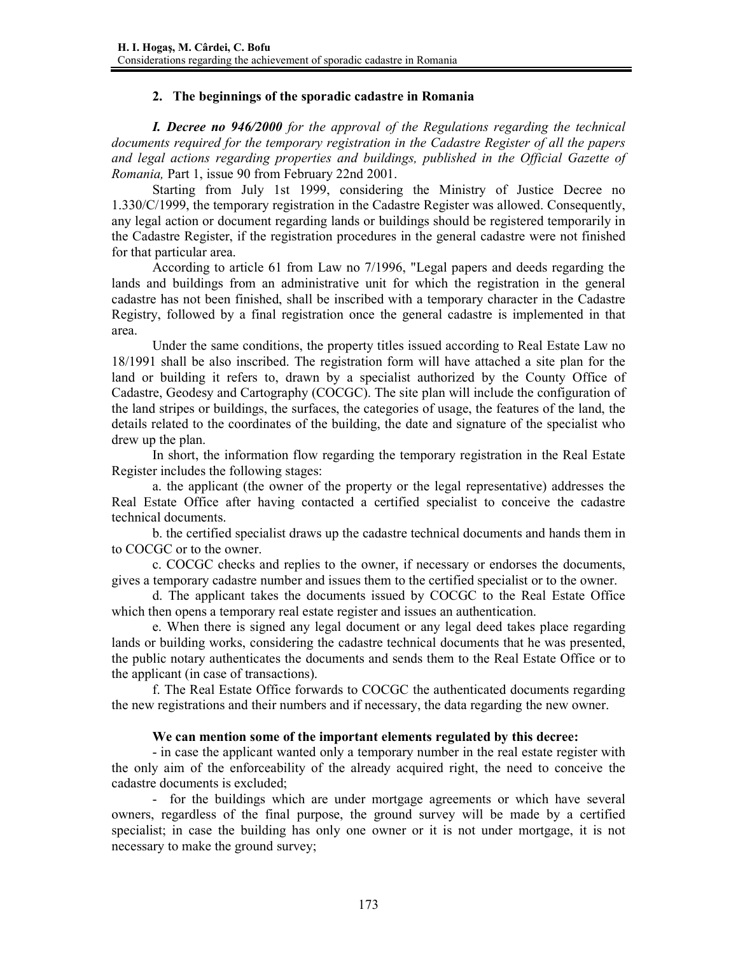# **2. The beginnings of the sporadic cadastre in Romania**

*I. Decree no 946/2000 for the approval of the Regulations regarding the technical documents required for the temporary registration in the Cadastre Register of all the papers and legal actions regarding properties and buildings, published in the Official Gazette of Romania,* Part 1, issue 90 from February 22nd 2001.

Starting from July 1st 1999, considering the Ministry of Justice Decree no 1.330/C/1999, the temporary registration in the Cadastre Register was allowed. Consequently, any legal action or document regarding lands or buildings should be registered temporarily in the Cadastre Register, if the registration procedures in the general cadastre were not finished for that particular area.

According to article 61 from Law no 7/1996, "Legal papers and deeds regarding the lands and buildings from an administrative unit for which the registration in the general cadastre has not been finished, shall be inscribed with a temporary character in the Cadastre Registry, followed by a final registration once the general cadastre is implemented in that area.

Under the same conditions, the property titles issued according to Real Estate Law no 18/1991 shall be also inscribed. The registration form will have attached a site plan for the land or building it refers to, drawn by a specialist authorized by the County Office of Cadastre, Geodesy and Cartography (COCGC). The site plan will include the configuration of the land stripes or buildings, the surfaces, the categories of usage, the features of the land, the details related to the coordinates of the building, the date and signature of the specialist who drew up the plan.

In short, the information flow regarding the temporary registration in the Real Estate Register includes the following stages:

a. the applicant (the owner of the property or the legal representative) addresses the Real Estate Office after having contacted a certified specialist to conceive the cadastre technical documents.

b. the certified specialist draws up the cadastre technical documents and hands them in to COCGC or to the owner.

c. COCGC checks and replies to the owner, if necessary or endorses the documents, gives a temporary cadastre number and issues them to the certified specialist or to the owner.

d. The applicant takes the documents issued by COCGC to the Real Estate Office which then opens a temporary real estate register and issues an authentication.

e. When there is signed any legal document or any legal deed takes place regarding lands or building works, considering the cadastre technical documents that he was presented, the public notary authenticates the documents and sends them to the Real Estate Office or to the applicant (in case of transactions).

f. The Real Estate Office forwards to COCGC the authenticated documents regarding the new registrations and their numbers and if necessary, the data regarding the new owner.

# **We can mention some of the important elements regulated by this decree:**

- in case the applicant wanted only a temporary number in the real estate register with the only aim of the enforceability of the already acquired right, the need to conceive the cadastre documents is excluded;

- for the buildings which are under mortgage agreements or which have several owners, regardless of the final purpose, the ground survey will be made by a certified specialist; in case the building has only one owner or it is not under mortgage, it is not necessary to make the ground survey;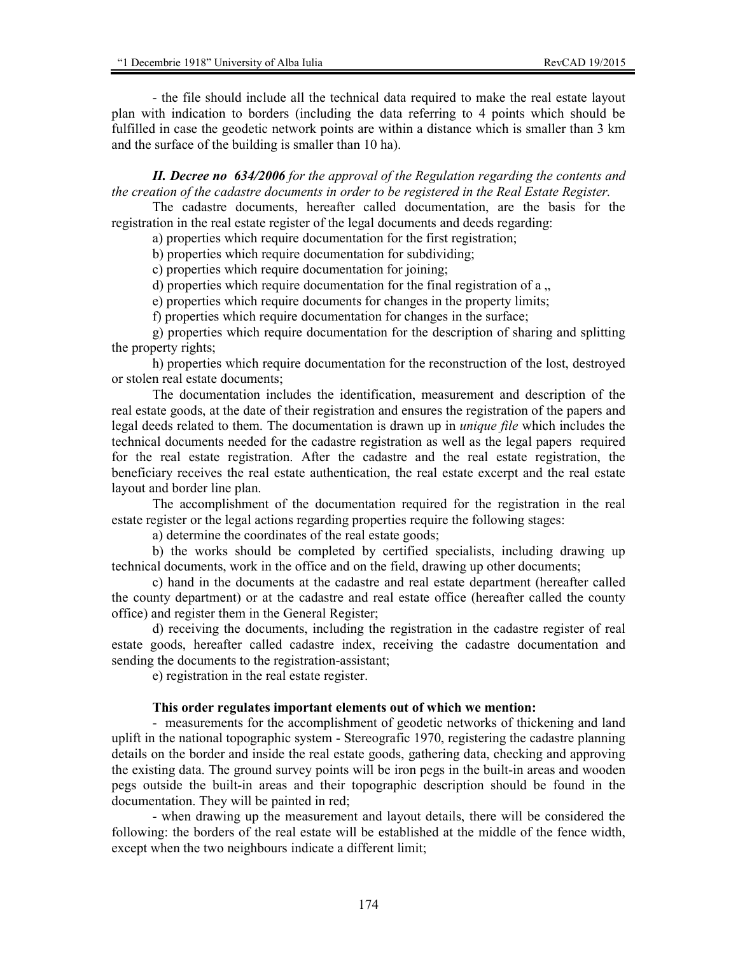- the file should include all the technical data required to make the real estate layout plan with indication to borders (including the data referring to 4 points which should be fulfilled in case the geodetic network points are within a distance which is smaller than 3 km and the surface of the building is smaller than 10 ha).

*II. Decree no 634/2006 for the approval of the Regulation regarding the contents and the creation of the cadastre documents in order to be registered in the Real Estate Register.* 

The cadastre documents, hereafter called documentation, are the basis for the registration in the real estate register of the legal documents and deeds regarding:

a) properties which require documentation for the first registration;

b) properties which require documentation for subdividing;

c) properties which require documentation for joining;

d) properties which require documentation for the final registration of  $a_{,n}$ 

e) properties which require documents for changes in the property limits;

f) properties which require documentation for changes in the surface;

g) properties which require documentation for the description of sharing and splitting the property rights;

h) properties which require documentation for the reconstruction of the lost, destroyed or stolen real estate documents;

The documentation includes the identification, measurement and description of the real estate goods, at the date of their registration and ensures the registration of the papers and legal deeds related to them. The documentation is drawn up in *unique file* which includes the technical documents needed for the cadastre registration as well as the legal papers required for the real estate registration. After the cadastre and the real estate registration, the beneficiary receives the real estate authentication, the real estate excerpt and the real estate layout and border line plan.

The accomplishment of the documentation required for the registration in the real estate register or the legal actions regarding properties require the following stages:

a) determine the coordinates of the real estate goods;

b) the works should be completed by certified specialists, including drawing up technical documents, work in the office and on the field, drawing up other documents;

c) hand in the documents at the cadastre and real estate department (hereafter called the county department) or at the cadastre and real estate office (hereafter called the county office) and register them in the General Register;

d) receiving the documents, including the registration in the cadastre register of real estate goods, hereafter called cadastre index, receiving the cadastre documentation and sending the documents to the registration-assistant;

e) registration in the real estate register.

#### **This order regulates important elements out of which we mention:**

- measurements for the accomplishment of geodetic networks of thickening and land uplift in the national topographic system - Stereografic 1970, registering the cadastre planning details on the border and inside the real estate goods, gathering data, checking and approving the existing data. The ground survey points will be iron pegs in the built-in areas and wooden pegs outside the built-in areas and their topographic description should be found in the documentation. They will be painted in red;

- when drawing up the measurement and layout details, there will be considered the following: the borders of the real estate will be established at the middle of the fence width, except when the two neighbours indicate a different limit;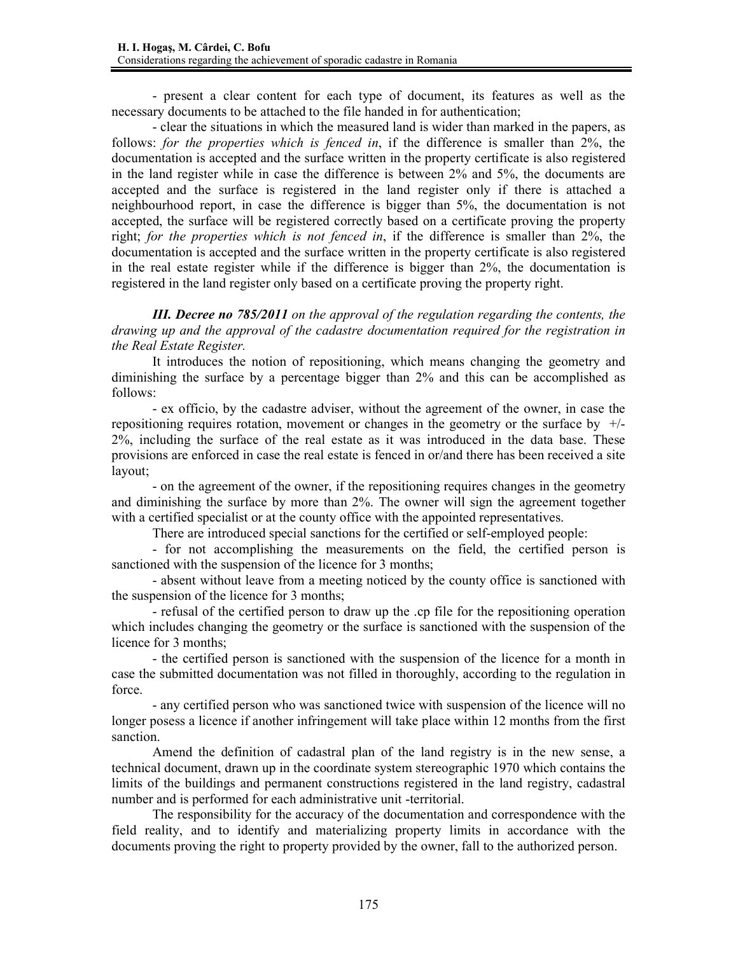- present a clear content for each type of document, its features as well as the necessary documents to be attached to the file handed in for authentication;

- clear the situations in which the measured land is wider than marked in the papers, as follows: *for the properties which is fenced in*, if the difference is smaller than 2%, the documentation is accepted and the surface written in the property certificate is also registered in the land register while in case the difference is between 2% and 5%, the documents are accepted and the surface is registered in the land register only if there is attached a neighbourhood report, in case the difference is bigger than 5%, the documentation is not accepted, the surface will be registered correctly based on a certificate proving the property right; *for the properties which is not fenced in*, if the difference is smaller than 2%, the documentation is accepted and the surface written in the property certificate is also registered in the real estate register while if the difference is bigger than 2%, the documentation is registered in the land register only based on a certificate proving the property right.

*III. Decree no 785/2011 on the approval of the regulation regarding the contents, the drawing up and the approval of the cadastre documentation required for the registration in the Real Estate Register.* 

It introduces the notion of repositioning, which means changing the geometry and diminishing the surface by a percentage bigger than 2% and this can be accomplished as follows:

- ex officio, by the cadastre adviser, without the agreement of the owner, in case the repositioning requires rotation, movement or changes in the geometry or the surface by +/- 2%, including the surface of the real estate as it was introduced in the data base. These provisions are enforced in case the real estate is fenced in or/and there has been received a site layout;

- on the agreement of the owner, if the repositioning requires changes in the geometry and diminishing the surface by more than 2%. The owner will sign the agreement together with a certified specialist or at the county office with the appointed representatives.

There are introduced special sanctions for the certified or self-employed people:

- for not accomplishing the measurements on the field, the certified person is sanctioned with the suspension of the licence for 3 months;

- absent without leave from a meeting noticed by the county office is sanctioned with the suspension of the licence for 3 months;

- refusal of the certified person to draw up the .cp file for the repositioning operation which includes changing the geometry or the surface is sanctioned with the suspension of the licence for 3 months;

- the certified person is sanctioned with the suspension of the licence for a month in case the submitted documentation was not filled in thoroughly, according to the regulation in force.

- any certified person who was sanctioned twice with suspension of the licence will no longer posess a licence if another infringement will take place within 12 months from the first sanction.

Amend the definition of cadastral plan of the land registry is in the new sense, a technical document, drawn up in the coordinate system stereographic 1970 which contains the limits of the buildings and permanent constructions registered in the land registry, cadastral number and is performed for each administrative unit -territorial.

The responsibility for the accuracy of the documentation and correspondence with the field reality, and to identify and materializing property limits in accordance with the documents proving the right to property provided by the owner, fall to the authorized person.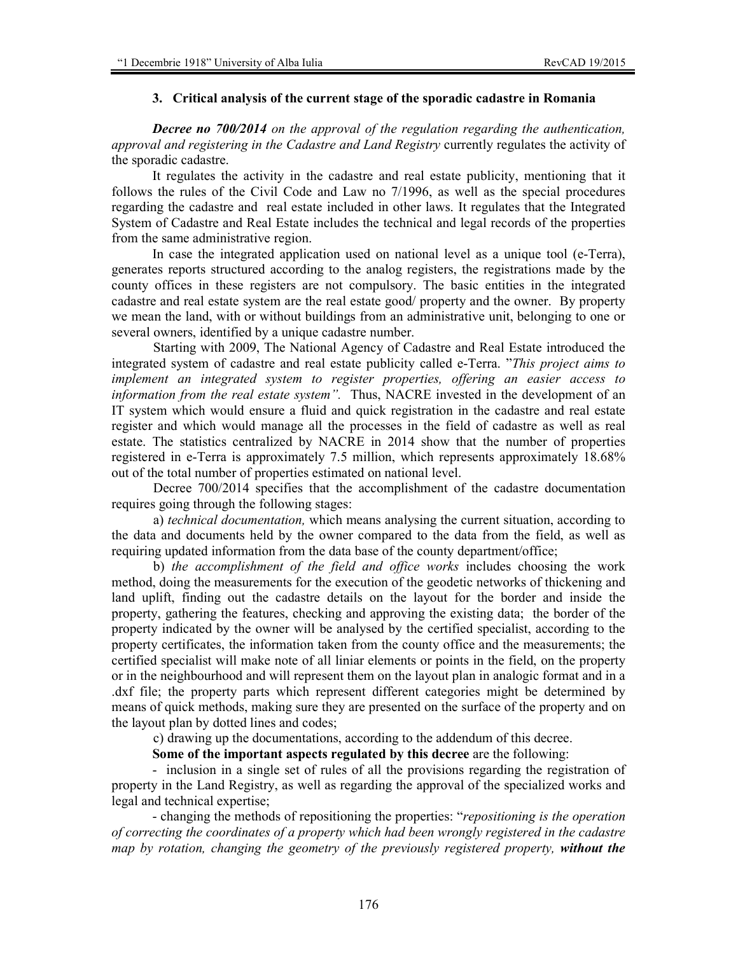#### **3. Critical analysis of the current stage of the sporadic cadastre in Romania**

*Decree no 700/2014 on the approval of the regulation regarding the authentication, approval and registering in the Cadastre and Land Registry* currently regulates the activity of the sporadic cadastre.

It regulates the activity in the cadastre and real estate publicity, mentioning that it follows the rules of the Civil Code and Law no 7/1996, as well as the special procedures regarding the cadastre and real estate included in other laws. It regulates that the Integrated System of Cadastre and Real Estate includes the technical and legal records of the properties from the same administrative region.

In case the integrated application used on national level as a unique tool (e-Terra), generates reports structured according to the analog registers, the registrations made by the county offices in these registers are not compulsory. The basic entities in the integrated cadastre and real estate system are the real estate good/ property and the owner. By property we mean the land, with or without buildings from an administrative unit, belonging to one or several owners, identified by a unique cadastre number.

Starting with 2009, The National Agency of Cadastre and Real Estate introduced the integrated system of cadastre and real estate publicity called e-Terra. "*This project aims to implement an integrated system to register properties, offering an easier access to information from the real estate system".* Thus, NACRE invested in the development of an IT system which would ensure a fluid and quick registration in the cadastre and real estate register and which would manage all the processes in the field of cadastre as well as real estate. The statistics centralized by NACRE in 2014 show that the number of properties registered in e-Terra is approximately 7.5 million, which represents approximately 18.68% out of the total number of properties estimated on national level.

Decree 700/2014 specifies that the accomplishment of the cadastre documentation requires going through the following stages:

a) *technical documentation,* which means analysing the current situation, according to the data and documents held by the owner compared to the data from the field, as well as requiring updated information from the data base of the county department/office;

b) *the accomplishment of the field and office works* includes choosing the work method, doing the measurements for the execution of the geodetic networks of thickening and land uplift, finding out the cadastre details on the layout for the border and inside the property, gathering the features, checking and approving the existing data; the border of the property indicated by the owner will be analysed by the certified specialist, according to the property certificates, the information taken from the county office and the measurements; the certified specialist will make note of all liniar elements or points in the field, on the property or in the neighbourhood and will represent them on the layout plan in analogic format and in a .dxf file; the property parts which represent different categories might be determined by means of quick methods, making sure they are presented on the surface of the property and on the layout plan by dotted lines and codes;

c) drawing up the documentations, according to the addendum of this decree.

**Some of the important aspects regulated by this decree** are the following:

- inclusion in a single set of rules of all the provisions regarding the registration of property in the Land Registry, as well as regarding the approval of the specialized works and legal and technical expertise;

- changing the methods of repositioning the properties: "*repositioning is the operation of correcting the coordinates of a property which had been wrongly registered in the cadastre map by rotation, changing the geometry of the previously registered property, without the*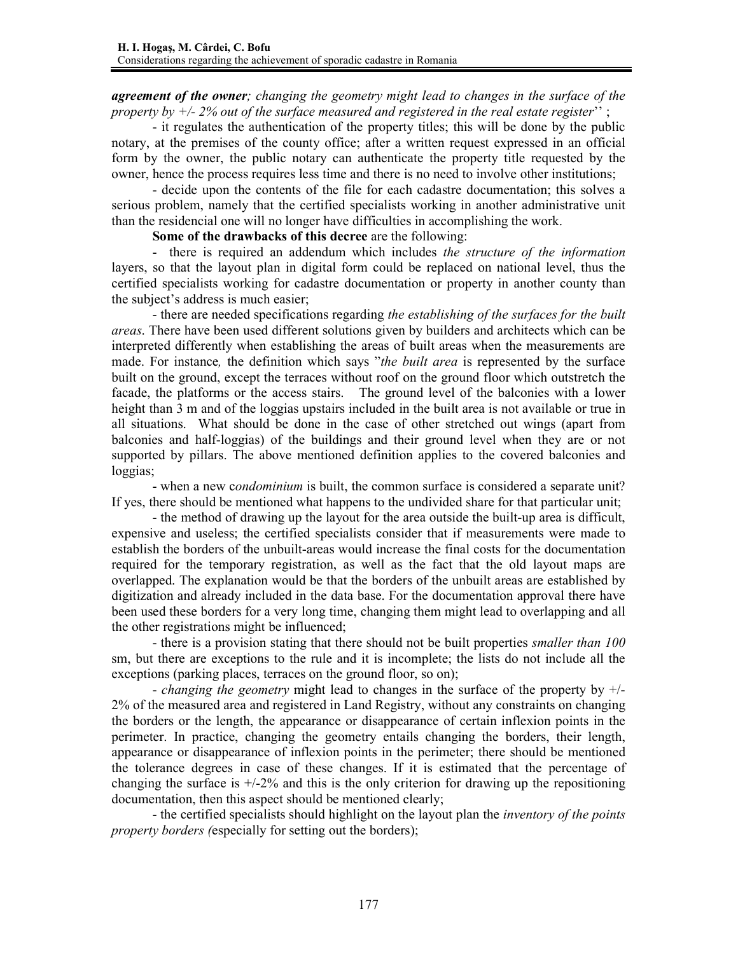# *agreement of the owner; changing the geometry might lead to changes in the surface of the property by +/- 2% out of the surface measured and registered in the real estate register*'' ;

- it regulates the authentication of the property titles; this will be done by the public notary, at the premises of the county office; after a written request expressed in an official form by the owner, the public notary can authenticate the property title requested by the owner, hence the process requires less time and there is no need to involve other institutions;

- decide upon the contents of the file for each cadastre documentation; this solves a serious problem, namely that the certified specialists working in another administrative unit than the residencial one will no longer have difficulties in accomplishing the work.

# **Some of the drawbacks of this decree** are the following:

- there is required an addendum which includes *the structure of the information*  layers, so that the layout plan in digital form could be replaced on national level, thus the certified specialists working for cadastre documentation or property in another county than the subject's address is much easier;

- there are needed specifications regarding *the establishing of the surfaces for the built areas*. There have been used different solutions given by builders and architects which can be interpreted differently when establishing the areas of built areas when the measurements are made. For instance*,* the definition which says "*the built area* is represented by the surface built on the ground, except the terraces without roof on the ground floor which outstretch the facade, the platforms or the access stairs. The ground level of the balconies with a lower height than 3 m and of the loggias upstairs included in the built area is not available or true in all situations. What should be done in the case of other stretched out wings (apart from balconies and half-loggias) of the buildings and their ground level when they are or not supported by pillars. The above mentioned definition applies to the covered balconies and loggias;

- when a new c*ondominium* is built, the common surface is considered a separate unit? If yes, there should be mentioned what happens to the undivided share for that particular unit;

- the method of drawing up the layout for the area outside the built-up area is difficult, expensive and useless; the certified specialists consider that if measurements were made to establish the borders of the unbuilt-areas would increase the final costs for the documentation required for the temporary registration, as well as the fact that the old layout maps are overlapped. The explanation would be that the borders of the unbuilt areas are established by digitization and already included in the data base. For the documentation approval there have been used these borders for a very long time, changing them might lead to overlapping and all the other registrations might be influenced;

- there is a provision stating that there should not be built properties *smaller than 100*  sm, but there are exceptions to the rule and it is incomplete; the lists do not include all the exceptions (parking places, terraces on the ground floor, so on);

- *changing the geometry* might lead to changes in the surface of the property by +/- 2% of the measured area and registered in Land Registry, without any constraints on changing the borders or the length, the appearance or disappearance of certain inflexion points in the perimeter. In practice, changing the geometry entails changing the borders, their length, appearance or disappearance of inflexion points in the perimeter; there should be mentioned the tolerance degrees in case of these changes. If it is estimated that the percentage of changing the surface is  $\pm/2\%$  and this is the only criterion for drawing up the repositioning documentation, then this aspect should be mentioned clearly;

- the certified specialists should highlight on the layout plan the *inventory of the points property borders (*especially for setting out the borders);